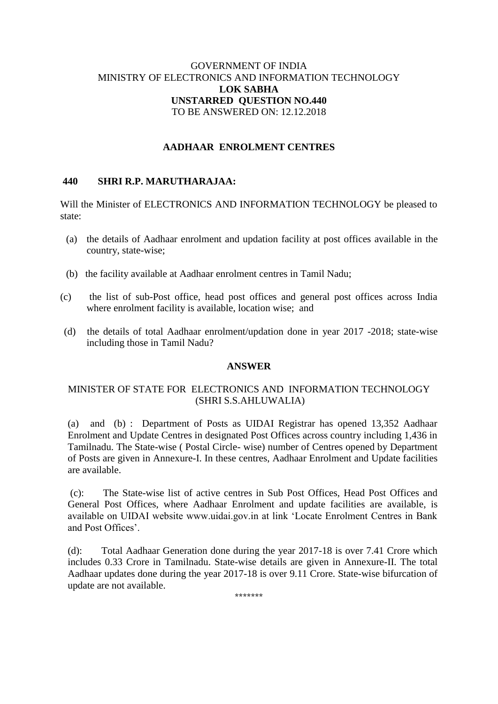## GOVERNMENT OF INDIA MINISTRY OF ELECTRONICS AND INFORMATION TECHNOLOGY **LOK SABHA UNSTARRED QUESTION NO.440** TO BE ANSWERED ON: 12.12.2018

## **AADHAAR ENROLMENT CENTRES**

#### **440 SHRI R.P. MARUTHARAJAA:**

Will the Minister of ELECTRONICS AND INFORMATION TECHNOLOGY be pleased to state:

- (a) the details of Aadhaar enrolment and updation facility at post offices available in the country, state-wise;
- (b) the facility available at Aadhaar enrolment centres in Tamil Nadu;
- (c) the list of sub-Post office, head post offices and general post offices across India where enrolment facility is available, location wise; and
- (d) the details of total Aadhaar enrolment/updation done in year 2017 -2018; state-wise including those in Tamil Nadu?

#### **ANSWER**

## MINISTER OF STATE FOR ELECTRONICS AND INFORMATION TECHNOLOGY (SHRI S.S.AHLUWALIA)

(a) and (b) : Department of Posts as UIDAI Registrar has opened 13,352 Aadhaar Enrolment and Update Centres in designated Post Offices across country including 1,436 in Tamilnadu. The State-wise ( Postal Circle- wise) number of Centres opened by Department of Posts are given in Annexure-I. In these centres, Aadhaar Enrolment and Update facilities are available.

(c): The State-wise list of active centres in Sub Post Offices, Head Post Offices and General Post Offices, where Aadhaar Enrolment and update facilities are available, is available on UIDAI website www.uidai.gov.in at link 'Locate Enrolment Centres in Bank and Post Offices'.

(d): Total Aadhaar Generation done during the year 2017-18 is over 7.41 Crore which includes 0.33 Crore in Tamilnadu. State-wise details are given in Annexure-II. The total Aadhaar updates done during the year 2017-18 is over 9.11 Crore. State-wise bifurcation of update are not available.

\*\*\*\*\*\*\*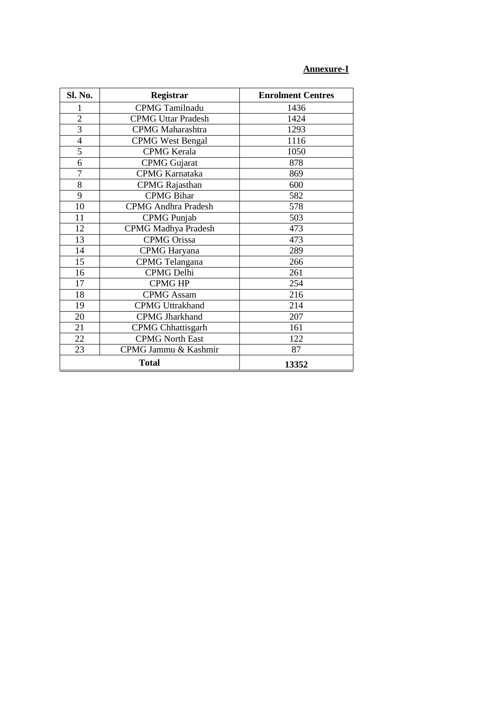## **Annexure-I**

| Sl. No.        | Registrar                  | <b>Enrolment Centres</b> |
|----------------|----------------------------|--------------------------|
| 1              | <b>CPMG</b> Tamilnadu      | 1436                     |
| $\overline{2}$ | <b>CPMG Uttar Pradesh</b>  | 1424                     |
| 3              | <b>CPMG</b> Maharashtra    | 1293                     |
| $\overline{4}$ | <b>CPMG</b> West Bengal    | 1116                     |
| 5              | <b>CPMG</b> Kerala         | 1050                     |
| 6              | <b>CPMG</b> Gujarat        | 878                      |
| $\overline{7}$ | <b>CPMG</b> Karnataka      | 869                      |
| 8              | <b>CPMG</b> Rajasthan      | 600                      |
| 9              | <b>CPMG Bihar</b>          | 582                      |
| 10             | <b>CPMG</b> Andhra Pradesh | 578                      |
| 11             | CPMG Punjab                | 503                      |
| 12             | <b>CPMG</b> Madhya Pradesh | 473                      |
| 13             | <b>CPMG</b> Orissa         | 473                      |
| 14             | <b>CPMG</b> Haryana        | 289                      |
| 15             | <b>CPMG</b> Telangana      | 266                      |
| 16             | <b>CPMG</b> Delhi          | 261                      |
| 17             | <b>CPMG HP</b>             | 254                      |
| 18             | <b>CPMG</b> Assam          | 216                      |
| 19             | <b>CPMG Uttrakhand</b>     | 214                      |
| 20             | <b>CPMG Jharkhand</b>      | 207                      |
| 21             | <b>CPMG</b> Chhattisgarh   | 161                      |
| 22             | <b>CPMG North East</b>     | 122                      |
| 23             | CPMG Jammu & Kashmir       | 87                       |
| <b>Total</b>   |                            | 13352                    |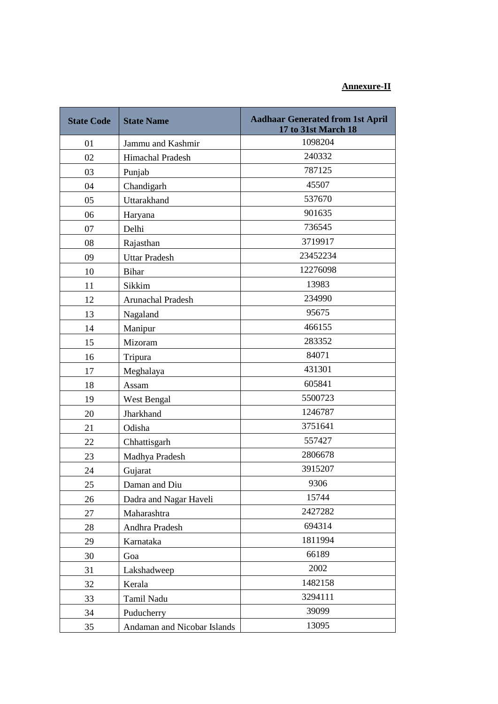# **Annexure-II**

| <b>State Code</b> | <b>State Name</b>           | <b>Aadhaar Generated from 1st April</b><br>17 to 31st March 18 |
|-------------------|-----------------------------|----------------------------------------------------------------|
| 01                | Jammu and Kashmir           | 1098204                                                        |
| 02                | Himachal Pradesh            | 240332                                                         |
| 03                | Punjab                      | 787125                                                         |
| 04                | Chandigarh                  | 45507                                                          |
| 05                | Uttarakhand                 | 537670                                                         |
| 06                | Haryana                     | 901635                                                         |
| 07                | Delhi                       | 736545                                                         |
| 08                | Rajasthan                   | 3719917                                                        |
| 09                | <b>Uttar Pradesh</b>        | 23452234                                                       |
| 10                | <b>Bihar</b>                | 12276098                                                       |
| 11                | Sikkim                      | 13983                                                          |
| 12                | Arunachal Pradesh           | 234990                                                         |
| 13                | Nagaland                    | 95675                                                          |
| 14                | Manipur                     | 466155                                                         |
| 15                | Mizoram                     | 283352                                                         |
| 16                | Tripura                     | 84071                                                          |
| 17                | Meghalaya                   | 431301                                                         |
| 18                | Assam                       | 605841                                                         |
| 19                | West Bengal                 | 5500723                                                        |
| 20                | Jharkhand                   | 1246787                                                        |
| 21                | Odisha                      | 3751641                                                        |
| 22                | Chhattisgarh                | 557427                                                         |
| 23                | Madhya Pradesh              | 2806678                                                        |
| 24                | Gujarat                     | 3915207                                                        |
| 25                | Daman and Diu               | 9306                                                           |
| 26                | Dadra and Nagar Haveli      | 15744                                                          |
| 27                | Maharashtra                 | 2427282                                                        |
| 28                | Andhra Pradesh              | 694314                                                         |
| 29                | Karnataka                   | 1811994                                                        |
| 30                | Goa                         | 66189                                                          |
| 31                | Lakshadweep                 | 2002                                                           |
| 32                | Kerala                      | 1482158                                                        |
| 33                | Tamil Nadu                  | 3294111                                                        |
| 34                | Puducherry                  | 39099                                                          |
| 35                | Andaman and Nicobar Islands | 13095                                                          |